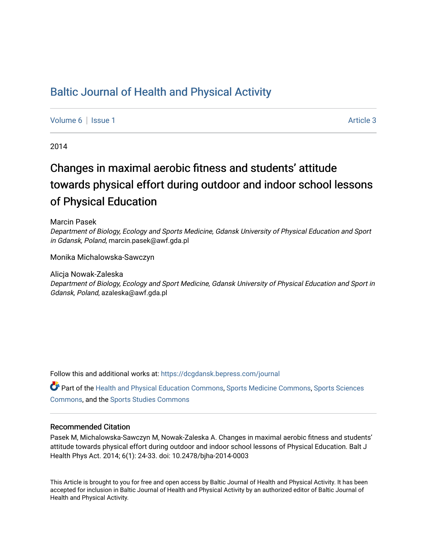# [Baltic Journal of Health and Physical Activity](https://dcgdansk.bepress.com/journal)

[Volume 6](https://dcgdansk.bepress.com/journal/vol6) | [Issue 1](https://dcgdansk.bepress.com/journal/vol6/iss1) Article 3

2014

# Changes in maximal aerobic fitness and students' attitude towards physical effort during outdoor and indoor school lessons of Physical Education

Marcin Pasek

Department of Biology, Ecology and Sports Medicine, Gdansk University of Physical Education and Sport in Gdansk, Poland, marcin.pasek@awf.gda.pl

Monika Michalowska-Sawczyn

Alicja Nowak-Zaleska Department of Biology, Ecology and Sport Medicine, Gdansk University of Physical Education and Sport in Gdansk, Poland, azaleska@awf.gda.pl

Follow this and additional works at: [https://dcgdansk.bepress.com/journal](https://dcgdansk.bepress.com/journal?utm_source=dcgdansk.bepress.com%2Fjournal%2Fvol6%2Fiss1%2F3&utm_medium=PDF&utm_campaign=PDFCoverPages)

Part of the [Health and Physical Education Commons](http://network.bepress.com/hgg/discipline/1327?utm_source=dcgdansk.bepress.com%2Fjournal%2Fvol6%2Fiss1%2F3&utm_medium=PDF&utm_campaign=PDFCoverPages), [Sports Medicine Commons,](http://network.bepress.com/hgg/discipline/1331?utm_source=dcgdansk.bepress.com%2Fjournal%2Fvol6%2Fiss1%2F3&utm_medium=PDF&utm_campaign=PDFCoverPages) [Sports Sciences](http://network.bepress.com/hgg/discipline/759?utm_source=dcgdansk.bepress.com%2Fjournal%2Fvol6%2Fiss1%2F3&utm_medium=PDF&utm_campaign=PDFCoverPages) [Commons](http://network.bepress.com/hgg/discipline/759?utm_source=dcgdansk.bepress.com%2Fjournal%2Fvol6%2Fiss1%2F3&utm_medium=PDF&utm_campaign=PDFCoverPages), and the [Sports Studies Commons](http://network.bepress.com/hgg/discipline/1198?utm_source=dcgdansk.bepress.com%2Fjournal%2Fvol6%2Fiss1%2F3&utm_medium=PDF&utm_campaign=PDFCoverPages) 

#### Recommended Citation

Pasek M, Michalowska-Sawczyn M, Nowak-Zaleska A. Changes in maximal aerobic fitness and students' attitude towards physical effort during outdoor and indoor school lessons of Physical Education. Balt J Health Phys Act. 2014; 6(1): 24-33. doi: 10.2478/bjha-2014-0003

This Article is brought to you for free and open access by Baltic Journal of Health and Physical Activity. It has been accepted for inclusion in Baltic Journal of Health and Physical Activity by an authorized editor of Baltic Journal of Health and Physical Activity.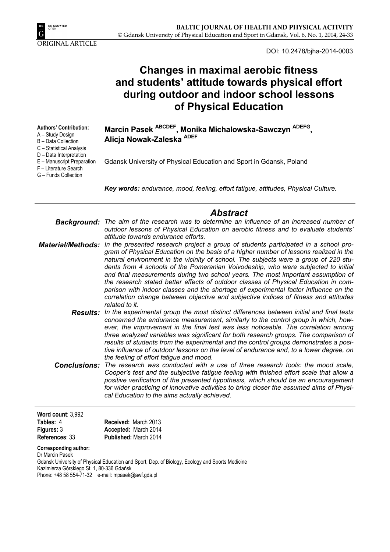

DOI: 10.2478/bjha-2014-0003

|                                                                                                                                                                                        | <b>Changes in maximal aerobic fitness</b><br>and students' attitude towards physical effort<br>during outdoor and indoor school lessons<br>of Physical Education                                                                                                                                                                                                                                                                                                                                                                                                                                                                                                                                                                                                              |  |  |  |  |  |  |  |
|----------------------------------------------------------------------------------------------------------------------------------------------------------------------------------------|-------------------------------------------------------------------------------------------------------------------------------------------------------------------------------------------------------------------------------------------------------------------------------------------------------------------------------------------------------------------------------------------------------------------------------------------------------------------------------------------------------------------------------------------------------------------------------------------------------------------------------------------------------------------------------------------------------------------------------------------------------------------------------|--|--|--|--|--|--|--|
| <b>Authors' Contribution:</b><br>A - Study Design<br>B - Data Collection<br>C - Statistical Analysis<br>D - Data Interpretation<br>E - Manuscript Preparation<br>F - Literature Search | Marcin Pasek ABCDEF, Monika Michalowska-Sawczyn ADEFG,<br>Alicja Nowak-Zaleska ADEF<br>Gdansk University of Physical Education and Sport in Gdansk, Poland                                                                                                                                                                                                                                                                                                                                                                                                                                                                                                                                                                                                                    |  |  |  |  |  |  |  |
| G - Funds Collection                                                                                                                                                                   | Key words: endurance, mood, feeling, effort fatigue, attitudes, Physical Culture.                                                                                                                                                                                                                                                                                                                                                                                                                                                                                                                                                                                                                                                                                             |  |  |  |  |  |  |  |
| Background:                                                                                                                                                                            | <b>Abstract</b><br>The aim of the research was to determine an influence of an increased number of<br>outdoor lessons of Physical Education on aerobic fitness and to evaluate students'                                                                                                                                                                                                                                                                                                                                                                                                                                                                                                                                                                                      |  |  |  |  |  |  |  |
| <b>Material/Methods:</b>                                                                                                                                                               | attitude towards endurance efforts.<br>In the presented research project a group of students participated in a school pro-<br>gram of Physical Education on the basis of a higher number of lessons realized in the<br>natural environment in the vicinity of school. The subjects were a group of 220 stu-<br>dents from 4 schools of the Pomeranian Voivodeship, who were subjected to initial<br>and final measurements during two school years. The most important assumption of<br>the research stated better effects of outdoor classes of Physical Education in com-<br>parison with indoor classes and the shortage of experimental factor influence on the<br>correlation change between objective and subjective indices of fitness and attitudes<br>related to it. |  |  |  |  |  |  |  |
| Results:                                                                                                                                                                               | In the experimental group the most distinct differences between initial and final tests<br>concerned the endurance measurement, similarly to the control group in which, how-<br>ever, the improvement in the final test was less noticeable. The correlation among<br>three analyzed variables was significant for both research groups. The comparison of<br>results of students from the experimental and the control groups demonstrates a posi-<br>tive influence of outdoor lessons on the level of endurance and, to a lower degree, on<br>the feeling of effort fatigue and mood.                                                                                                                                                                                     |  |  |  |  |  |  |  |
| <b>Conclusions:</b>                                                                                                                                                                    | The research was conducted with a use of three research tools: the mood scale,<br>Cooper's test and the subjective fatigue feeling with finished effort scale that allow a<br>positive verification of the presented hypothesis, which should be an encouragement<br>for wider practicing of innovative activities to bring closer the assumed aims of Physi-<br>cal Education to the aims actually achieved.                                                                                                                                                                                                                                                                                                                                                                 |  |  |  |  |  |  |  |
| Word count: 3,992<br>Tables: 4<br>Figures: 3<br>References: 33                                                                                                                         | Received: March 2013<br>Accepted: March 2014<br>Published: March 2014                                                                                                                                                                                                                                                                                                                                                                                                                                                                                                                                                                                                                                                                                                         |  |  |  |  |  |  |  |
| <b>Corresponding author:</b><br>Dr Marcin Pasek                                                                                                                                        |                                                                                                                                                                                                                                                                                                                                                                                                                                                                                                                                                                                                                                                                                                                                                                               |  |  |  |  |  |  |  |

Gdansk University of Physical Education and Sport, Dep. of Biology, Ecology and Sports Medicine Kazimierza Górskiego St. 1, 80-336 Gdańsk

Phone: +48 58 554-71-32 e-mail: mpasek@awf.gda.pl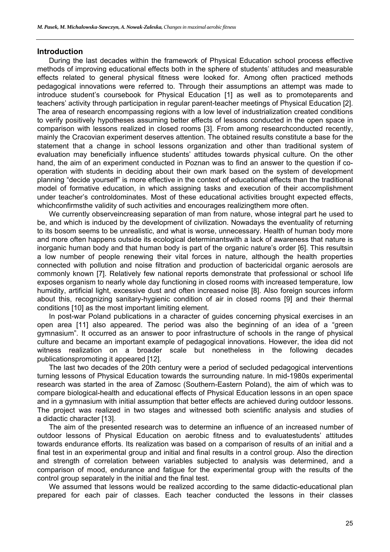#### **Introduction**

During the last decades within the framework of Physical Education school process effective methods of improving educational effects both in the sphere of students' attitudes and measurable effects related to general physical fitness were looked for. Among often practiced methods pedagogical innovations were referred to. Through their assumptions an attempt was made to introduce student's coursebook for Physical Education [1] as well as to promoteparents and teachers' activity through participation in regular parent-teacher meetings of Physical Education [2]. The area of research encompassing regions with a low level of industrialization created conditions to verify positively hypotheses assuming better effects of lessons conducted in the open space in comparison with lessons realized in closed rooms [3]. From among researchconducted recently, mainly the Cracovian experiment deserves attention. The obtained results constitute a base for the statement that a change in school lessons organization and other than traditional system of evaluation may beneficially influence students' attitudes towards physical culture. On the other hand, the aim of an experiment conducted in Poznan was to find an answer to the question if cooperation with students in deciding about their own mark based on the system of development planning "decide yourself" is more effective in the context of educational effects than the traditional model of formative education, in which assigning tasks and execution of their accomplishment under teacher's controldominates. Most of these educational activities brought expected effects, whichconfirmsthe validity of such activities and encourages realizingthem more often.

We currently observeincreasing separation of man from nature, whose integral part he used to be, and which is induced by the development of civilization. Nowadays the eventuality of returning to its bosom seems to be unrealistic, and what is worse, unnecessary. Health of human body more and more often happens outside its ecological determinantswith a lack of awareness that nature is inorganic human body and that human body is part of the organic nature's order [6]. This resultsin a low number of people renewing their vital forces in nature, although the health properties connected with pollution and noise filtration and production of bactericidal organic aerosols are commonly known [7]. Relatively few national reports demonstrate that professional or school life exposes organism to nearly whole day functioning in closed rooms with increased temperature, low humidity, artificial light, excessive dust and often increased noise [8]. Also foreign sources inform about this, recognizing sanitary-hygienic condition of air in closed rooms [9] and their thermal conditions [10] as the most important limiting element.

In post-war Poland publications in a character of guides concerning physical exercises in an open area [11] also appeared. The period was also the beginning of an idea of a "green gymnasium". It occurred as an answer to poor infrastructure of schools in the range of physical culture and became an important example of pedagogical innovations. However, the idea did not witness realization on a broader scale but nonetheless in the following decades publicationspromoting it appeared [12].

The last two decades of the 20th century were a period of secluded pedagogical interventions turning lessons of Physical Education towards the surrounding nature. In mid-1980s experimental research was started in the area of Zamosc (Southern-Eastern Poland), the aim of which was to compare biological-health and educational effects of Physical Education lessons in an open space and in a gymnasium with initial assumption that better effects are achieved during outdoor lessons. The project was realized in two stages and witnessed both scientific analysis and studies of a didactic character [13].

The aim of the presented research was to determine an influence of an increased number of outdoor lessons of Physical Education on aerobic fitness and to evaluatestudents' attitudes towards endurance efforts. Its realization was based on a comparison of results of an initial and a final test in an experimental group and initial and final results in a control group. Also the direction and strength of correlation between variables subjected to analysis was determined, and a comparison of mood, endurance and fatigue for the experimental group with the results of the control group separately in the initial and the final test.

We assumed that lessons would be realized according to the same didactic-educational plan prepared for each pair of classes. Each teacher conducted the lessons in their classes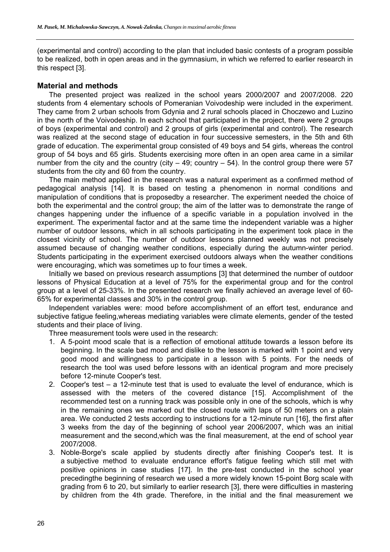(experimental and control) according to the plan that included basic contests of a program possible to be realized, both in open areas and in the gymnasium, in which we referred to earlier research in this respect [3].

#### **Material and methods**

The presented project was realized in the school years 2000/2007 and 2007/2008. 220 students from 4 elementary schools of Pomeranian Voivodeship were included in the experiment. They came from 2 urban schools from Gdynia and 2 rural schools placed in Choczewo and Luzino in the north of the Voivodeship. In each school that participated in the project, there were 2 groups of boys (experimental and control) and 2 groups of girls (experimental and control). The research was realized at the second stage of education in four successive semesters, in the 5th and 6th grade of education. The experimental group consisted of 49 boys and 54 girls, whereas the control group of 54 boys and 65 girls. Students exercising more often in an open area came in a similar number from the city and the country (city  $-49$ ; country  $-54$ ). In the control group there were 57 students from the city and 60 from the country.

The main method applied in the research was a natural experiment as a confirmed method of pedagogical analysis [14]. It is based on testing a phenomenon in normal conditions and manipulation of conditions that is proposedby a researcher. The experiment needed the choice of both the experimental and the control group; the aim of the latter was to demonstrate the range of changes happening under the influence of a specific variable in a population involved in the experiment. The experimental factor and at the same time the independent variable was a higher number of outdoor lessons, which in all schools participating in the experiment took place in the closest vicinity of school. The number of outdoor lessons planned weekly was not precisely assumed because of changing weather conditions, especially during the autumn-winter period. Students participating in the experiment exercised outdoors always when the weather conditions were encouraging, which was sometimes up to four times a week.

Initially we based on previous research assumptions [3] that determined the number of outdoor lessons of Physical Education at a level of 75% for the experimental group and for the control group at a level of 25-33%. In the presented research we finally achieved an average level of 60- 65% for experimental classes and 30% in the control group.

Independent variables were: mood before accomplishment of an effort test, endurance and subjective fatigue feeling,whereas mediating variables were climate elements, gender of the tested students and their place of living.

Three measurement tools were used in the research:

- 1. A 5-point mood scale that is a reflection of emotional attitude towards a lesson before its beginning. In the scale bad mood and dislike to the lesson is marked with 1 point and very good mood and willingness to participate in a lesson with 5 points. For the needs of research the tool was used before lessons with an identical program and more precisely before 12-minute Cooper's test.
- 2. Cooper's test a 12-minute test that is used to evaluate the level of endurance, which is assessed with the meters of the covered distance [15]. Accomplishment of the recommended test on a running track was possible only in one of the schools, which is why in the remaining ones we marked out the closed route with laps of 50 meters on a plain area. We conducted 2 tests according to instructions for a 12-minute run [16], the first after 3 weeks from the day of the beginning of school year 2006/2007, which was an initial measurement and the second,which was the final measurement, at the end of school year 2007/2008.
- 3. Noble-Borge's scale applied by students directly after finishing Cooper's test. It is a subjective method to evaluate endurance effort's fatigue feeling which still met with positive opinions in case studies [17]. In the pre-test conducted in the school year precedingthe beginning of research we used a more widely known 15-point Borg scale with grading from 6 to 20, but similarly to earlier research [3], there were difficulties in mastering by children from the 4th grade. Therefore, in the initial and the final measurement we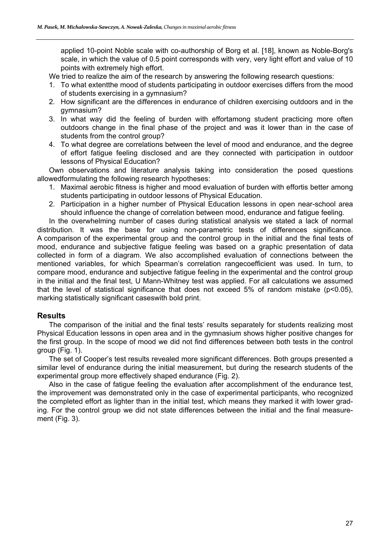applied 10-point Noble scale with co-authorship of Borg et al. [18], known as Noble-Borg's scale, in which the value of 0.5 point corresponds with very, very light effort and value of 10 points with extremely high effort.

We tried to realize the aim of the research by answering the following research questions:

- 1. To what extentthe mood of students participating in outdoor exercises differs from the mood of students exercising in a gymnasium?
- 2. How significant are the differences in endurance of children exercising outdoors and in the gymnasium?
- 3. In what way did the feeling of burden with effortamong student practicing more often outdoors change in the final phase of the project and was it lower than in the case of students from the control group?
- 4. To what degree are correlations between the level of mood and endurance, and the degree of effort fatigue feeling disclosed and are they connected with participation in outdoor lessons of Physical Education?

Own observations and literature analysis taking into consideration the posed questions allowedformulating the following research hypotheses:

- 1. Maximal aerobic fitness is higher and mood evaluation of burden with effortis better among students participating in outdoor lessons of Physical Education.
- 2. Participation in a higher number of Physical Education lessons in open near-school area should influence the change of correlation between mood, endurance and fatigue feeling.

In the overwhelming number of cases during statistical analysis we stated a lack of normal distribution. It was the base for using non-parametric tests of differences significance. A comparison of the experimental group and the control group in the initial and the final tests of mood, endurance and subjective fatigue feeling was based on a graphic presentation of data collected in form of a diagram. We also accomplished evaluation of connections between the mentioned variables, for which Spearman's correlation rangecoefficient was used. In turn, to compare mood, endurance and subjective fatigue feeling in the experimental and the control group in the initial and the final test, U Mann-Whitney test was applied. For all calculations we assumed that the level of statistical significance that does not exceed 5% of random mistake ( $p$ <0.05), marking statistically significant caseswith bold print.

# **Results**

The comparison of the initial and the final tests' results separately for students realizing most Physical Education lessons in open area and in the gymnasium shows higher positive changes for the first group. In the scope of mood we did not find differences between both tests in the control group (Fig. 1).

The set of Cooper's test results revealed more significant differences. Both groups presented a similar level of endurance during the initial measurement, but during the research students of the experimental group more effectively shaped endurance (Fig. 2).

Also in the case of fatigue feeling the evaluation after accomplishment of the endurance test, the improvement was demonstrated only in the case of experimental participants, who recognized the completed effort as lighter than in the initial test, which means they marked it with lower grading. For the control group we did not state differences between the initial and the final measurement (Fig. 3).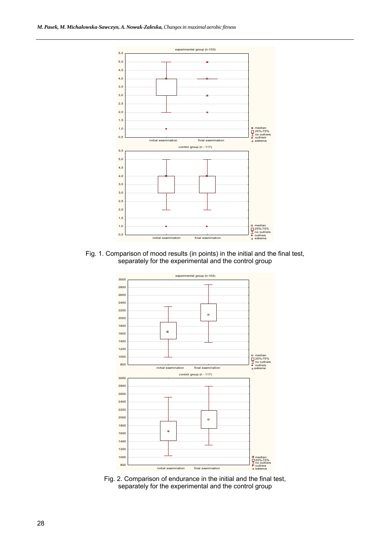

Fig. 1. Comparison of mood results (in points) in the initial and the final test, separately for the experimental and the control group



Fig. 2. Comparison of endurance in the initial and the final test, separately for the experimental and the control group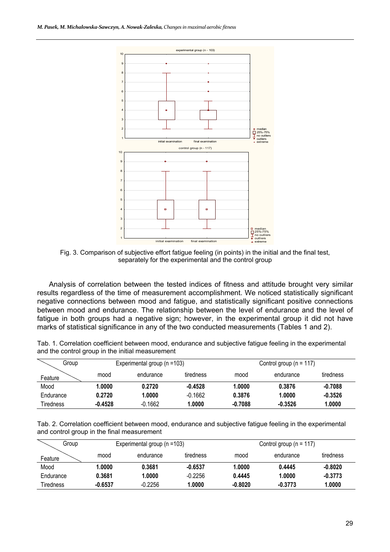

Fig. 3. Comparison of subjective effort fatigue feeling (in points) in the initial and the final test, separately for the experimental and the control group

Analysis of correlation between the tested indices of fitness and attitude brought very similar results regardless of the time of measurement accomplishment. We noticed statistically significant negative connections between mood and fatigue, and statistically significant positive connections between mood and endurance. The relationship between the level of endurance and the level of fatigue in both groups had a negative sign; however, in the experimental group it did not have marks of statistical significance in any of the two conducted measurements (Tables 1 and 2).

| Tab. 1. Correlation coefficient between mood, endurance and subjective fatigue feeling in the experimental |  |
|------------------------------------------------------------------------------------------------------------|--|
| and the control group in the initial measurement                                                           |  |

| Group     |           | Experimental group (n =103) |           | Control group ( $n = 117$ ) |           |           |  |  |
|-----------|-----------|-----------------------------|-----------|-----------------------------|-----------|-----------|--|--|
| Feature   | mood      | endurance                   | tiredness | mood                        | endurance | tiredness |  |  |
| Mood      | 1.0000    | 0.2720                      | $-0.4528$ | 1.0000                      | 0.3876    | $-0.7088$ |  |  |
| Endurance | 0.2720    | 1.0000                      | $-0.1662$ | 0.3876                      | 1.0000    | $-0.3526$ |  |  |
| Tiredness | $-0.4528$ | $-0.1662$                   | .0000،    | $-0.7088$                   | $-0.3526$ | 1.0000    |  |  |

Tab. 2. Correlation coefficient between mood, endurance and subjective fatigue feeling in the experimental and control group in the final measurement

| Group     |           | Experimental group (n =103) |           | Control group ( $n = 117$ ) |           |           |  |  |
|-----------|-----------|-----------------------------|-----------|-----------------------------|-----------|-----------|--|--|
| Feature   | mood      | endurance                   | tiredness | mood                        | endurance | tiredness |  |  |
| Mood      | 1.0000    | 0.3681                      | $-0.6537$ | 1.0000                      | 0.4445    | $-0.8020$ |  |  |
| Endurance | 0.3681    | 1.0000                      | $-0.2256$ | 0.4445                      | 1.0000    | $-0.3773$ |  |  |
| Tiredness | $-0.6537$ | $-0.2256$                   | 1.0000    | $-0.8020$                   | $-0.3773$ | 1.0000    |  |  |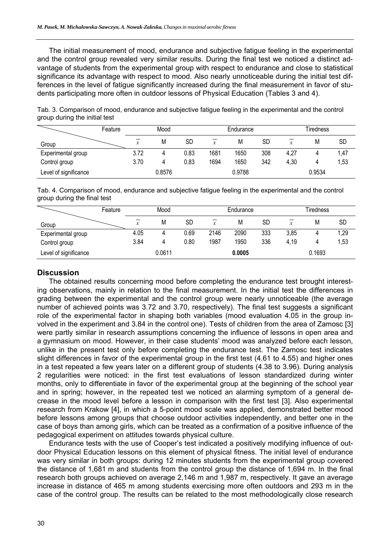The initial measurement of mood, endurance and subjective fatigue feeling in the experimental and the control group revealed very similar results. During the final test we noticed a distinct advantage of students from the experimental group with respect to endurance and close to statistical significance its advantage with respect to mood. Also nearly unnoticeable during the initial test differences in the level of fatigue significantly increased during the final measurement in favor of students participating more often in outdoor lessons of Physical Education (Tables 3 and 4).

|                       | Feature | Mood         |        |           | Endurance |        |     | Tiredness    |        |           |
|-----------------------|---------|--------------|--------|-----------|-----------|--------|-----|--------------|--------|-----------|
| Group                 |         | $\mathbf{v}$ | M      | <b>SD</b> | x         | М      | SD  | $\mathbf{v}$ | М      | <b>SD</b> |
| Experimental group    |         | 3.72         |        | 0.83      | 1681      | 1650   | 308 | 4,27         | 4      | 1,47      |
| Control group         |         | 3.70         | 4      | 0.83      | 1694      | 1650   | 342 | 4,30         | 4      | 1,53      |
| Level of significance |         |              | 0.8576 |           |           | 0.9788 |     |              | 0.9534 |           |

Tab. 3. Comparison of mood, endurance and subjective fatigue feeling in the experimental and the control group during the initial test

Tab. 4. Comparison of mood, endurance and subjective fatigue feeling in the experimental and the control group during the final test

|                       | Feature | Mood |        |           | Endurance |        |           | Tiredness |        |           |
|-----------------------|---------|------|--------|-----------|-----------|--------|-----------|-----------|--------|-----------|
| Group                 |         | x    | M      | <b>SD</b> | x         | M      | <b>SD</b> | x         | М      | <b>SD</b> |
| Experimental group    |         | 4.05 |        | 0.69      | 2146      | 2090   | 333       | 3,85      | 4      | 1,29      |
| Control group         |         | 3.84 | 4      | 0.80      | 1987      | 1950   | 336       | 4,19      | 4      | 1,53      |
| Level of significance |         |      | 0.0611 |           |           | 0.0005 |           |           | 0.1693 |           |

# **Discussion**

The obtained results concerning mood before completing the endurance test brought interesting observations, mainly in relation to the final measurement. In the initial test the differences in grading between the experimental and the control group were nearly unnoticeable (the average number of achieved points was 3.72 and 3.70, respectively). The final test suggests a significant role of the experimental factor in shaping both variables (mood evaluation 4.05 in the group involved in the experiment and 3.84 in the control one). Tests of children from the area of Zamosc [3] were partly similar in research assumptions concerning the influence of lessons in open area and a gymnasium on mood. However, in their case students' mood was analyzed before each lesson, unlike in the present test only before completing the endurance test. The Zamosc test indicates slight differences in favor of the experimental group in the first test (4.61 to 4.55) and higher ones in a test repeated a few years later on a different group of students (4.38 to 3.96). During analysis 2 regularities were noticed: in the first test evaluations of lesson standardized during winter months, only to differentiate in favor of the experimental group at the beginning of the school year and in spring; however, in the repeated test we noticed an alarming symptom of a general decrease in the mood level before a lesson in comparison with the first test [3]. Also experimental research from Krakow [4], in which a 5-point mood scale was applied, demonstrated better mood before lessons among groups that choose outdoor activities independently, and better one in the case of boys than among girls, which can be treated as a confirmation of a positive influence of the pedagogical experiment on attitudes towards physical culture.

Endurance tests with the use of Cooper's test indicated a positively modifying influence of outdoor Physical Education lessons on this element of physical fitness. The initial level of endurance was very similar in both groups: during 12 minutes students from the experimental group covered the distance of 1,681 m and students from the control group the distance of 1,694 m. In the final research both groups achieved on average 2,146 m and 1,987 m, respectively. It gave an average increase in distance of 465 m among students exercising more often outdoors and 293 m in the case of the control group. The results can be related to the most methodologically close research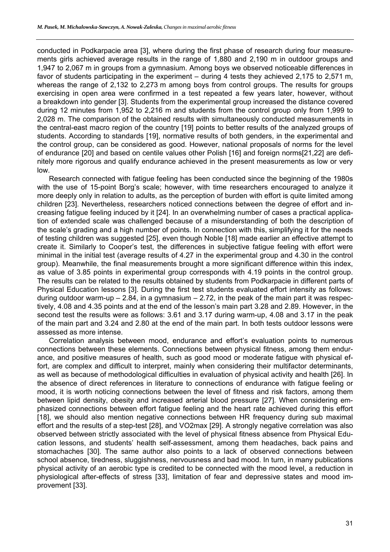conducted in Podkarpacie area [3], where during the first phase of research during four measurements girls achieved average results in the range of 1,880 and 2,190 m in outdoor groups and 1,947 to 2,067 m in groups from a gymnasium. Among boys we observed noticeable differences in favor of students participating in the experiment – during 4 tests they achieved 2,175 to 2,571 m, whereas the range of 2,132 to 2,273 m among boys from control groups. The results for groups exercising in open area were confirmed in a test repeated a few years later, however, without a breakdown into gender [3]. Students from the experimental group increased the distance covered during 12 minutes from 1,952 to 2,216 m and students from the control group only from 1,999 to 2,028 m. The comparison of the obtained results with simultaneously conducted measurements in the central-east macro region of the country [19] points to better results of the analyzed groups of students. According to standards [19], normative results of both genders, in the experimental and the control group, can be considered as good. However, national proposals of norms for the level of endurance [20] and based on centile values other Polish [16] and foreign norms[21,22] are definitely more rigorous and qualify endurance achieved in the present measurements as low or very low.

Research connected with fatigue feeling has been conducted since the beginning of the 1980s with the use of 15-point Borg's scale; however, with time researchers encouraged to analyze it more deeply only in relation to adults, as the perception of burden with effort is quite limited among children [23]. Nevertheless, researchers noticed connections between the degree of effort and increasing fatigue feeling induced by it [24]. In an overwhelming number of cases a practical application of extended scale was challenged because of a misunderstanding of both the description of the scale's grading and a high number of points. In connection with this, simplifying it for the needs of testing children was suggested [25], even though Noble [18] made earlier an effective attempt to create it. Similarly to Cooper's test, the differences in subjective fatigue feeling with effort were minimal in the initial test (average results of 4.27 in the experimental group and 4.30 in the control group). Meanwhile, the final measurements brought a more significant difference within this index, as value of 3.85 points in experimental group corresponds with 4.19 points in the control group. The results can be related to the results obtained by students from Podkarpacie in different parts of Physical Education lessons [3]. During the first test students evaluated effort intensity as follows: during outdoor warm-up  $-2.84$ , in a gymnasium  $-2.72$ , in the peak of the main part it was respectively, 4.08 and 4.35 points and at the end of the lesson's main part 3.28 and 2.89. However, in the second test the results were as follows: 3.61 and 3.17 during warm-up, 4.08 and 3.17 in the peak of the main part and 3.24 and 2.80 at the end of the main part. In both tests outdoor lessons were assessed as more intense.

Correlation analysis between mood, endurance and effort's evaluation points to numerous connections between these elements. Connections between physical fitness, among them endurance, and positive measures of health, such as good mood or moderate fatigue with physical effort, are complex and difficult to interpret, mainly when considering their multifactor determinants, as well as because of methodological difficulties in evaluation of physical activity and health [26]. In the absence of direct references in literature to connections of endurance with fatigue feeling or mood, it is worth noticing connections between the level of fitness and risk factors, among them between lipid density, obesity and increased arterial blood pressure [27]. When considering emphasized connections between effort fatigue feeling and the heart rate achieved during this effort [18], we should also mention negative connections between HR frequency during sub maximal effort and the results of a step-test [28], and VO2max [29]. A strongly negative correlation was also observed between strictly associated with the level of physical fitness absence from Physical Education lessons, and students' health self-assessment, among them headaches, back pains and stomachaches [30]. The same author also points to a lack of observed connections between school absence, tiredness, sluggishness, nervousness and bad mood. In turn, in many publications physical activity of an aerobic type is credited to be connected with the mood level, a reduction in physiological after-effects of stress [33], limitation of fear and depressive states and mood improvement [33].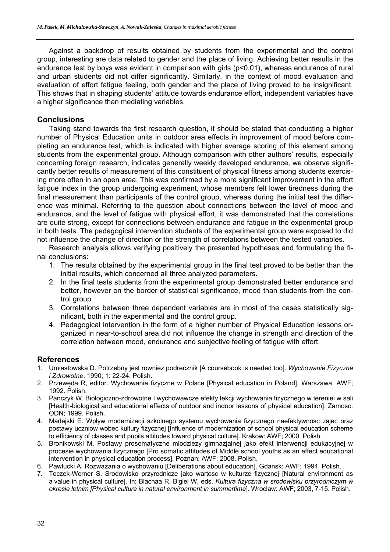Against a backdrop of results obtained by students from the experimental and the control group, interesting are data related to gender and the place of living. Achieving better results in the endurance test by boys was evident in comparison with girls (p<0.01), whereas endurance of rural and urban students did not differ significantly. Similarly, in the context of mood evaluation and evaluation of effort fatigue feeling, both gender and the place of living proved to be insignificant. This shows that in shaping students' attitude towards endurance effort, independent variables have a higher significance than mediating variables.

# **Conclusions**

Taking stand towards the first research question, it should be stated that conducting a higher number of Physical Education units in outdoor area effects in improvement of mood before completing an endurance test, which is indicated with higher average scoring of this element among students from the experimental group. Although comparison with other authors' results, especially concerning foreign research, indicates generally weekly developed endurance, we observe significantly better results of measurement of this constituent of physical fitness among students exercising more often in an open area. This was confirmed by a more significant improvement in the effort fatigue index in the group undergoing experiment, whose members felt lower tiredness during the final measurement than participants of the control group, whereas during the initial test the difference was minimal. Referring to the question about connections between the level of mood and endurance, and the level of fatigue with physical effort, it was demonstrated that the correlations are quite strong, except for connections between endurance and fatigue in the experimental group in both tests. The pedagogical intervention students of the experimental group were exposed to did not influence the change of direction or the strength of correlations between the tested variables.

Research analysis allows verifying positively the presented hypotheses and formulating the final conclusions:

- 1. The results obtained by the experimental group in the final test proved to be better than the initial results, which concerned all three analyzed parameters.
- 2. In the final tests students from the experimental group demonstrated better endurance and better, however on the border of statistical significance, mood than students from the control group.
- 3. Correlations between three dependent variables are in most of the cases statistically significant, both in the experimental and the control group.
- 4. Pedagogical intervention in the form of a higher number of Physical Education lessons organized in near-to-school area did not influence the change in strength and direction of the correlation between mood, endurance and subjective feeling of fatigue with effort.

#### **References**

- 1. Umiastowska D. Potrzebny jest rowniez podrecznik [A coursebook is needed too]. *Wychowanie Fizyczne i Zdrowotne*. 1990; 1: 22-24. Polish.
- 2. Przewęda R, editor. Wychowanie fizyczne w Polsce [Physical education in Poland]. Warszawa: AWF; 1992. Polish.
- 3. Panczyk W. Biologiczno-zdrowotne I wychowawcze efekty lekcji wychowania fizycznego w tereniei w sali [Health-biological and educational effects of outdoor and indoor lessons of physical education]. Zamosc: ODN; 1999. Polish.
- 4. Madejski E. Wpływ modernizacji szkolnego systemu wychowania fizycznego naefektywnosc zajec oraz postawy uczniow wobec kultury fizycznej [Influence of modernization of school physical education scheme to efficiency of classes and pupils attitudes toward physical culture]. Krakow: AWF; 2000. Polish.
- 5. Bronikowski M. Postawy prosomatyczne mlodziezy gimnazjalnej jako efekt interwencji edukacyjnej w procesie wychowania fizycznego [Pro somatic attitudes of Middle school youths as an effect educational intervention in physical education process]. Poznan: AWF; 2008. Polish.
- 6. Pawlucki A. Rozwazania o wychowaniu [Deliberations about education]. Gdansk: AWF; 1994. Polish.
- 7. Toczek-Werner S. Srodowisko przyrodnicze jako wartosc w kulturze fizycznej [Natural environment as a value in physical culture]. In: Blachaa R, Bigiel W, eds. *Kultura fizyczna w srodowisku przyrodniczym w okresie letnim [Physical culture in natural environment in summertime*]. Wroclaw: AWF; 2003, 7-15. Polish.